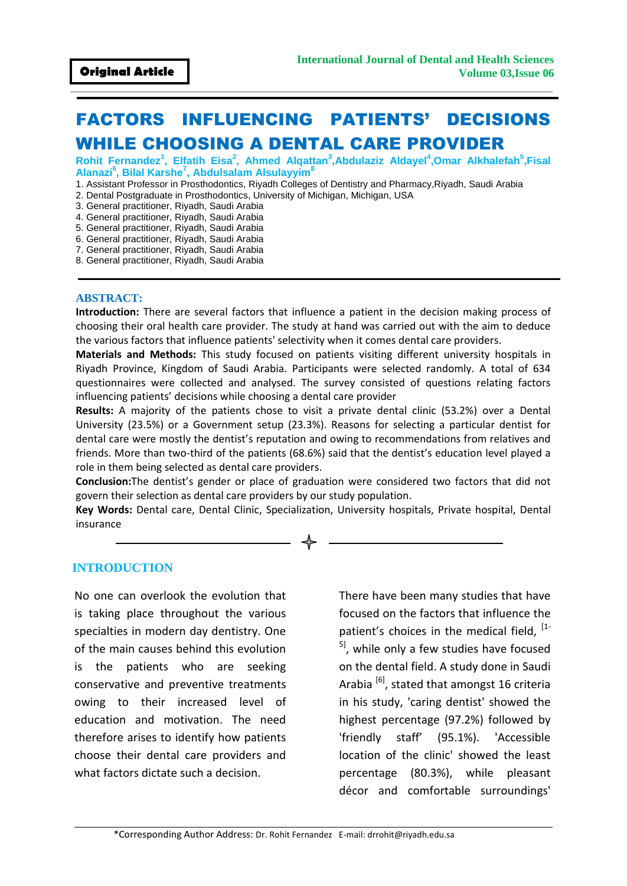# FACTORS INFLUENCING PATIENTS' DECISIONS WHILE CHOOSING A DENTAL CARE PROVIDER

**Rohit Fernandez<sup>1</sup> , Elfatih Eisa<sup>2</sup> , Ahmed Alqattan<sup>3</sup> ,Abdulaziz Aldayel<sup>4</sup> ,Omar Alkhalefah<sup>5</sup> ,Fisal Alanazi<sup>6</sup> , Bilal Karshe<sup>7</sup> , Abdulsalam Alsulayyim<sup>8</sup>**

- 1. Assistant Professor in Prosthodontics, Riyadh Colleges of Dentistry and Pharmacy,Riyadh, Saudi Arabia
- 2. Dental Postgraduate in Prosthodontics, University of Michigan, Michigan, USA
- 3. General practitioner, Riyadh, Saudi Arabia
- 4. General practitioner, Riyadh, Saudi Arabia
- 5. General practitioner, Riyadh, Saudi Arabia
- 6. General practitioner, Riyadh, Saudi Arabia
- 7. General practitioner, Riyadh, Saudi Arabia 8. General practitioner, Riyadh, Saudi Arabia

#### **ABSTRACT:**

**Introduction:** There are several factors that influence a patient in the decision making process of choosing their oral health care provider. The study at hand was carried out with the aim to deduce the various factors that influence patients' selectivity when it comes dental care providers.

**Materials and Methods:** This study focused on patients visiting different university hospitals in Riyadh Province, Kingdom of Saudi Arabia. Participants were selected randomly. A total of 634 questionnaires were collected and analysed. The survey consisted of questions relating factors influencing patients' decisions while choosing a dental care provider

**Results:** A majority of the patients chose to visit a private dental clinic (53.2%) over a Dental University (23.5%) or a Government setup (23.3%). Reasons for selecting a particular dentist for dental care were mostly the dentist's reputation and owing to recommendations from relatives and friends. More than two-third of the patients (68.6%) said that the dentist's education level played a role in them being selected as dental care providers.

**Conclusion:**The dentist's gender or place of graduation were considered two factors that did not govern their selection as dental care providers by our study population.

**Key Words:** Dental care, Dental Clinic, Specialization, University hospitals, Private hospital, Dental insurance

#### **INTRODUCTION**

No one can overlook the evolution that is taking place throughout the various specialties in modern day dentistry. One of the main causes behind this evolution is the patients who are seeking conservative and preventive treatments owing to their increased level of education and motivation. The need therefore arises to identify how patients choose their dental care providers and what factors dictate such a decision.

There have been many studies that have focused on the factors that influence the patient's choices in the medical field,  $[1-\frac{1}{2}]$ <sup>51</sup>, while only a few studies have focused on the dental field. A study done in Saudi Arabia  $^{[6]}$ , stated that amongst 16 criteria in his study, 'caring dentist' showed the highest percentage (97.2%) followed by 'friendly staff' (95.1%). 'Accessible location of the clinic' showed the least percentage (80.3%), while pleasant décor and comfortable surroundings'

\*Corresponding Author Address: Dr. Rohit Fernandez E-mail: drrohit@riyadh.edu.sa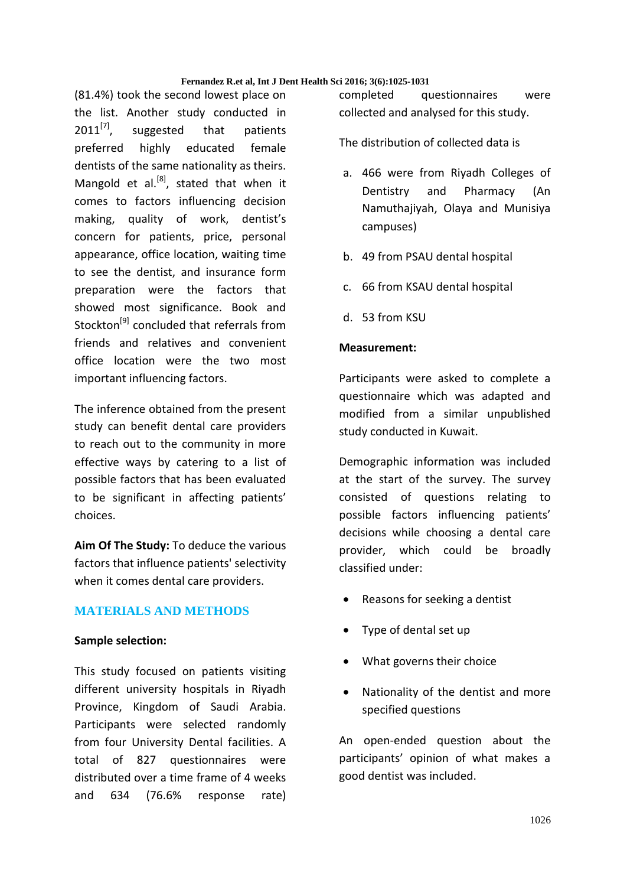(81.4%) took the second lowest place on the list. Another study conducted in  $2011^{[7]}$ , suggested that patients preferred highly educated female dentists of the same nationality as theirs. Mangold et al. $^{[8]}$ , stated that when it comes to factors influencing decision making, quality of work, dentist's concern for patients, price, personal appearance, office location, waiting time to see the dentist, and insurance form preparation were the factors that showed most significance. Book and Stockton<sup>[9]</sup> concluded that referrals from friends and relatives and convenient office location were the two most important influencing factors.

The inference obtained from the present study can benefit dental care providers to reach out to the community in more effective ways by catering to a list of possible factors that has been evaluated to be significant in affecting patients' choices.

**Aim Of The Study:** To deduce the various factors that influence patients' selectivity when it comes dental care providers.

# **MATERIALS AND METHODS**

#### **Sample selection:**

This study focused on patients visiting different university hospitals in Riyadh Province, Kingdom of Saudi Arabia. Participants were selected randomly from four University Dental facilities. A total of 827 questionnaires were distributed over a time frame of 4 weeks and 634 (76.6% response rate) completed questionnaires were collected and analysed for this study.

The distribution of collected data is

- a. 466 were from Riyadh Colleges of Dentistry and Pharmacy (An Namuthajiyah, Olaya and Munisiya campuses)
- b. 49 from PSAU dental hospital
- c. 66 from KSAU dental hospital
- d. 53 from KSU

# **Measurement:**

Participants were asked to complete a questionnaire which was adapted and modified from a similar unpublished study conducted in Kuwait.

Demographic information was included at the start of the survey. The survey consisted of questions relating to possible factors influencing patients' decisions while choosing a dental care provider, which could be broadly classified under:

- Reasons for seeking a dentist
- Type of dental set up
- What governs their choice
- Nationality of the dentist and more specified questions

An open-ended question about the participants' opinion of what makes a good dentist was included.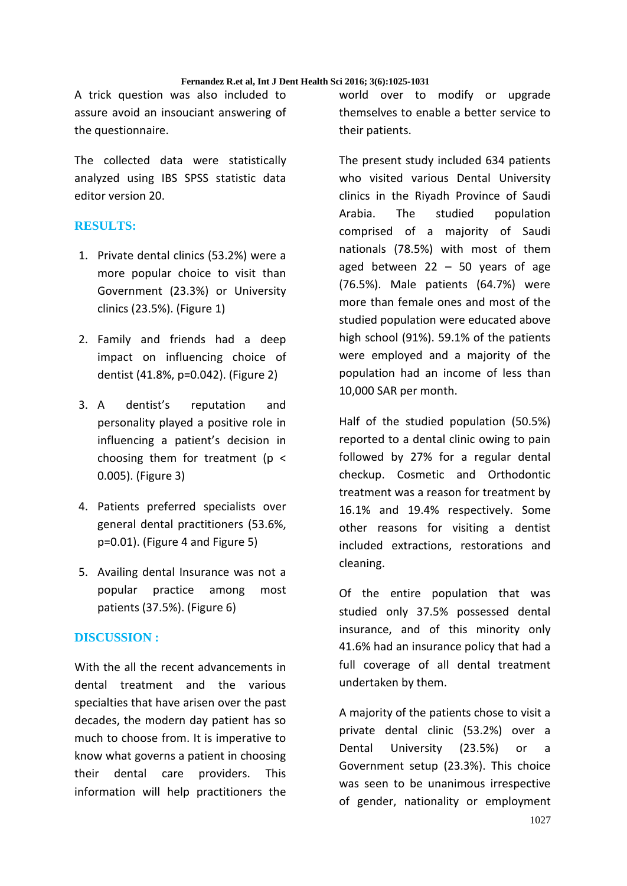A trick question was also included to assure avoid an insouciant answering of the questionnaire.

The collected data were statistically analyzed using IBS SPSS statistic data editor version 20.

# **RESULTS:**

- 1. Private dental clinics (53.2%) were a more popular choice to visit than Government (23.3%) or University clinics (23.5%). (Figure 1)
- 2. Family and friends had a deep impact on influencing choice of dentist (41.8%, p=0.042). (Figure 2)
- 3. A dentist's reputation and personality played a positive role in influencing a patient's decision in choosing them for treatment ( $p <$ 0.005). (Figure 3)
- 4. Patients preferred specialists over general dental practitioners (53.6%, p=0.01). (Figure 4 and Figure 5)
- 5. Availing dental Insurance was not a popular practice among most patients (37.5%). (Figure 6)

# **DISCUSSION :**

With the all the recent advancements in dental treatment and the various specialties that have arisen over the past decades, the modern day patient has so much to choose from. It is imperative to know what governs a patient in choosing their dental care providers. This information will help practitioners the

world over to modify or upgrade themselves to enable a better service to their patients.

The present study included 634 patients who visited various Dental University clinics in the Riyadh Province of Saudi Arabia. The studied population comprised of a majority of Saudi nationals (78.5%) with most of them aged between  $22 - 50$  years of age (76.5%). Male patients (64.7%) were more than female ones and most of the studied population were educated above high school (91%). 59.1% of the patients were employed and a majority of the population had an income of less than 10,000 SAR per month.

Half of the studied population (50.5%) reported to a dental clinic owing to pain followed by 27% for a regular dental checkup. Cosmetic and Orthodontic treatment was a reason for treatment by 16.1% and 19.4% respectively. Some other reasons for visiting a dentist included extractions, restorations and cleaning.

Of the entire population that was studied only 37.5% possessed dental insurance, and of this minority only 41.6% had an insurance policy that had a full coverage of all dental treatment undertaken by them.

A majority of the patients chose to visit a private dental clinic (53.2%) over a Dental University (23.5%) or a Government setup (23.3%). This choice was seen to be unanimous irrespective of gender, nationality or employment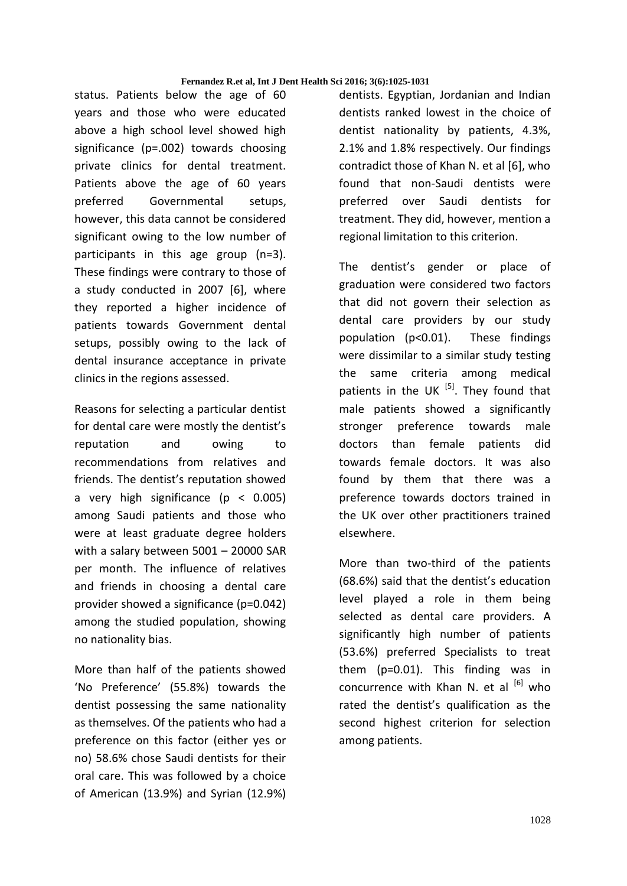status. Patients below the age of 60 years and those who were educated above a high school level showed high significance (p=.002) towards choosing private clinics for dental treatment. Patients above the age of 60 years preferred Governmental setups, however, this data cannot be considered significant owing to the low number of participants in this age group (n=3). These findings were contrary to those of a study conducted in 2007 [6], where they reported a higher incidence of patients towards Government dental setups, possibly owing to the lack of dental insurance acceptance in private clinics in the regions assessed.

Reasons for selecting a particular dentist for dental care were mostly the dentist's reputation and owing to recommendations from relatives and friends. The dentist's reputation showed a very high significance (p < 0.005) among Saudi patients and those who were at least graduate degree holders with a salary between 5001 – 20000 SAR per month. The influence of relatives and friends in choosing a dental care provider showed a significance (p=0.042) among the studied population, showing no nationality bias.

More than half of the patients showed 'No Preference' (55.8%) towards the dentist possessing the same nationality as themselves. Of the patients who had a preference on this factor (either yes or no) 58.6% chose Saudi dentists for their oral care. This was followed by a choice of American (13.9%) and Syrian (12.9%)

dentists. Egyptian, Jordanian and Indian dentists ranked lowest in the choice of dentist nationality by patients, 4.3%, 2.1% and 1.8% respectively. Our findings contradict those of Khan N. et al [6], who found that non-Saudi dentists were preferred over Saudi dentists for treatment. They did, however, mention a regional limitation to this criterion.

The dentist's gender or place of graduation were considered two factors that did not govern their selection as dental care providers by our study population (p<0.01). These findings were dissimilar to a similar study testing the same criteria among medical patients in the UK  $^{[5]}$ . They found that male patients showed a significantly stronger preference towards male doctors than female patients did towards female doctors. It was also found by them that there was a preference towards doctors trained in the UK over other practitioners trained elsewhere.

More than two-third of the patients (68.6%) said that the dentist's education level played a role in them being selected as dental care providers. A significantly high number of patients (53.6%) preferred Specialists to treat them (p=0.01). This finding was in concurrence with Khan N. et al  $\left[6\right]$  who rated the dentist's qualification as the second highest criterion for selection among patients.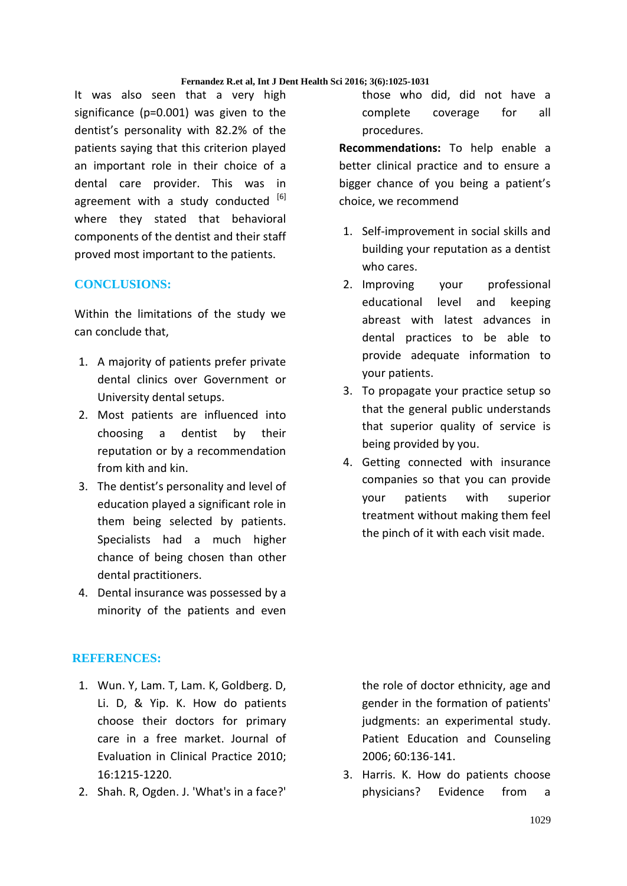It was also seen that a very high significance (p=0.001) was given to the dentist's personality with 82.2% of the patients saying that this criterion played an important role in their choice of a dental care provider. This was in agreement with a study conducted [6] where they stated that behavioral components of the dentist and their staff proved most important to the patients.

# **CONCLUSIONS:**

Within the limitations of the study we can conclude that,

- 1. A majority of patients prefer private dental clinics over Government or University dental setups.
- 2. Most patients are influenced into choosing a dentist by their reputation or by a recommendation from kith and kin.
- 3. The dentist's personality and level of education played a significant role in them being selected by patients. Specialists had a much higher chance of being chosen than other dental practitioners.
- 4. Dental insurance was possessed by a minority of the patients and even

# **REFERENCES:**

- 1. Wun. Y, Lam. T, Lam. K, Goldberg. D, Li. D, & Yip. K. How do patients choose their doctors for primary care in a free market. Journal of Evaluation in Clinical Practice 2010; 16:1215-1220.
- 2. Shah. R, Ogden. J. 'What's in a face?'

those who did, did not have a complete coverage for all procedures.

**Recommendations:** To help enable a better clinical practice and to ensure a bigger chance of you being a patient's choice, we recommend

- 1. Self-improvement in social skills and building your reputation as a dentist who cares.
- 2. Improving your professional educational level and keeping abreast with latest advances in dental practices to be able to provide adequate information to your patients.
- 3. To propagate your practice setup so that the general public understands that superior quality of service is being provided by you.
- 4. Getting connected with insurance companies so that you can provide your patients with superior treatment without making them feel the pinch of it with each visit made.

the role of doctor ethnicity, age and gender in the formation of patients' judgments: an experimental study. Patient Education and Counseling 2006; 60:136-141.

3. Harris. K. How do patients choose physicians? Evidence from a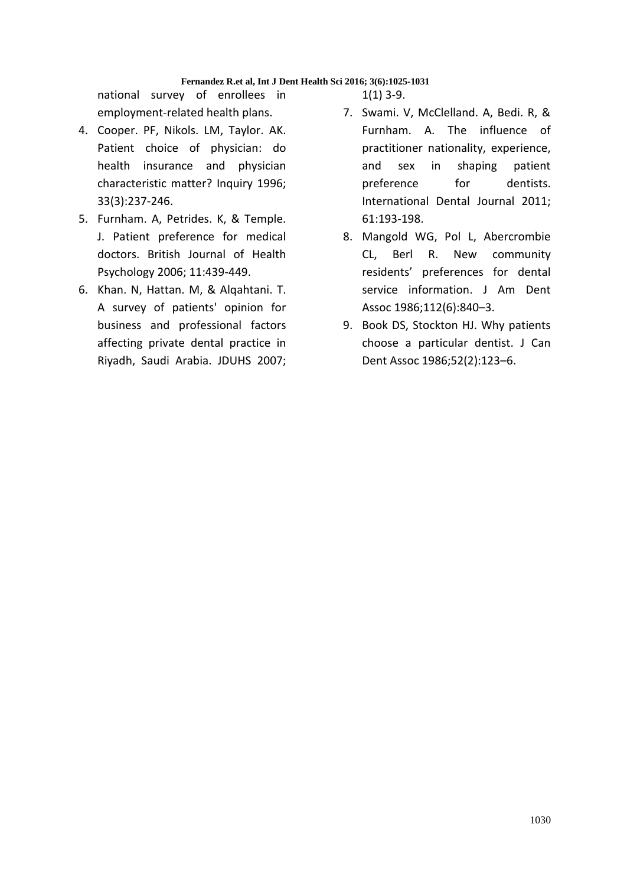national survey of enrollees in employment-related health plans.

- 4. Cooper. PF, Nikols. LM, Taylor. AK. Patient choice of physician: do health insurance and physician characteristic matter? Inquiry 1996; 33(3):237-246.
- 5. Furnham. A, Petrides. K, & Temple. J. Patient preference for medical doctors. British Journal of Health Psychology 2006; 11:439-449.
- 6. Khan. N, Hattan. M, & Alqahtani. T. A survey of patients' opinion for business and professional factors affecting private dental practice in Riyadh, Saudi Arabia. JDUHS 2007;

 $1(1)$  3-9.

- 7. Swami. V, McClelland. A, Bedi. R, & Furnham. A. The influence of practitioner nationality, experience, and sex in shaping patient preference for dentists. International Dental Journal 2011; 61:193-198.
- 8. Mangold WG, Pol L, Abercrombie CL, Berl R. New community residents' preferences for dental service information. J Am Dent Assoc 1986;112(6):840–3.
- 9. Book DS, Stockton HJ. Why patients choose a particular dentist. J Can Dent Assoc 1986;52(2):123–6.